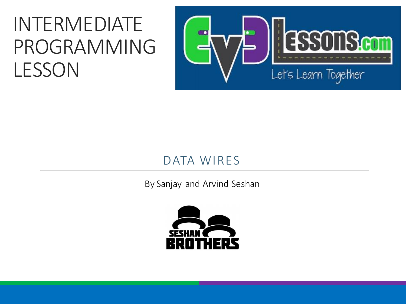#### INTERMEDIATE PROGRAMMING LESSON



#### DATA WIRES

By Sanjay and Arvind Seshan

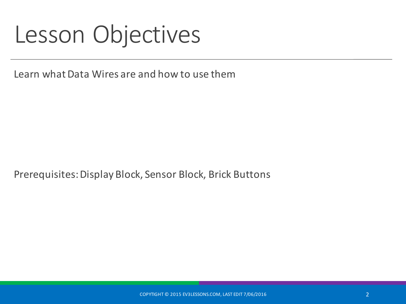#### Lesson Objectives

Learn what Data Wires are and how to use them

Prerequisites: Display Block, Sensor Block, Brick Buttons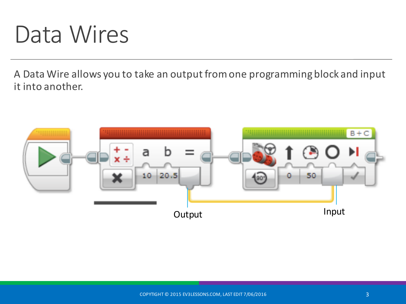#### Data Wires

A Data Wire allows you to take an output from one programming block and input it into another.

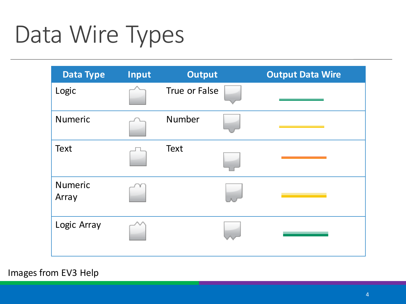# Data Wire Types

| <b>Data Type</b>        | Input | <b>Output</b> | <b>Output Data Wire</b> |
|-------------------------|-------|---------------|-------------------------|
| Logic                   |       | True or False |                         |
| <b>Numeric</b>          |       | Number        |                         |
| <b>Text</b>             |       | <b>Text</b>   |                         |
| <b>Numeric</b><br>Array |       |               |                         |
| Logic Array             |       |               |                         |

COPYTIGHT OF THE COPYTIGHT OF THE COPYTIGHT OF THE COPYTIGHT OF THE COPYTIGHT OF THE COPYTIGHT OF THE COPYTIGHT

Images from EV3 Help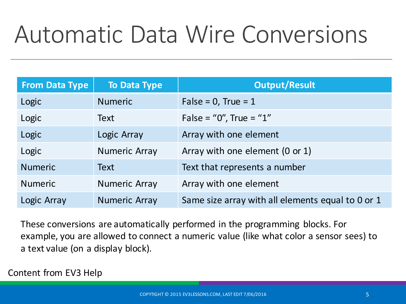# Automatic Data Wire Conversions

| <b>From Data Type</b> | <b>To Data Type</b>  | <b>Output/Result</b>                              |
|-----------------------|----------------------|---------------------------------------------------|
| Logic                 | <b>Numeric</b>       | False = $0$ , True = $1$                          |
| Logic                 | Text                 | False = "0", True = "1"                           |
| Logic                 | Logic Array          | Array with one element                            |
| Logic                 | <b>Numeric Array</b> | Array with one element (0 or 1)                   |
| <b>Numeric</b>        | <b>Text</b>          | Text that represents a number                     |
| <b>Numeric</b>        | <b>Numeric Array</b> | Array with one element                            |
| Logic Array           | <b>Numeric Array</b> | Same size array with all elements equal to 0 or 1 |

These conversions are automatically performed in the programming blocks. For example, you are allowed to connect a numeric value (like what color a sensor sees) to a text value (on a display block).

Content from EV3 Help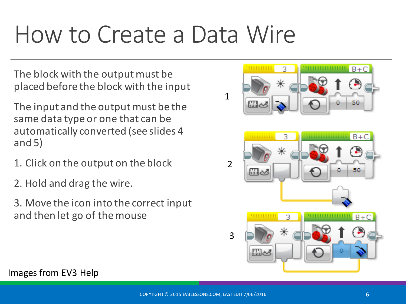## How to Create a Data Wire

The block with the output must be placed before the block with the input

The input and the output must be the same data type or one that can be automatically converted (see slides 4 and  $5)$ 

- 1. Click on the output on the block
- 2. Hold and drag the wire.
- 3. Move the icon into the correct input and then let go of the mouse



Images from EV3 Help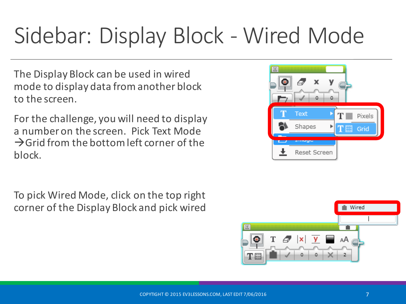### Sidebar: Display Block - Wired Mode

The Display Block can be used in wired mode to display data from another block to the screen.

For the challenge, you will need to display a number on the screen. Pick Text Mode  $\rightarrow$ Grid from the bottom left corner of the block.

To pick Wired Mode, click on the top right corner of the Display Block and pick wired



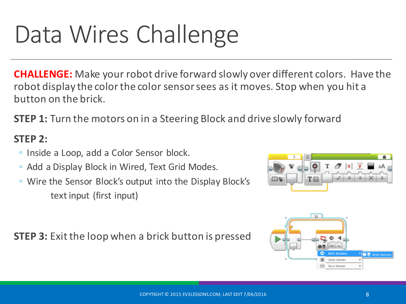# Data Wires Challenge

**CHALLENGE:** Make your robot drive forward slowly over different colors. Have the robot display the color the color sensor sees as it moves. Stop when you hit a button on the brick.

**STEP 1:** Turn the motors on in a Steering Block and drive slowly forward

#### **STEP 2:**

- Inside a Loop, add a Color Sensor block.
- Add a Display Block in Wired, Text Grid Modes.
- Wire the Sensor Block's output into the Display Block's text input (first input)

**STEP 3:** Exit the loop when a brick button is pressed



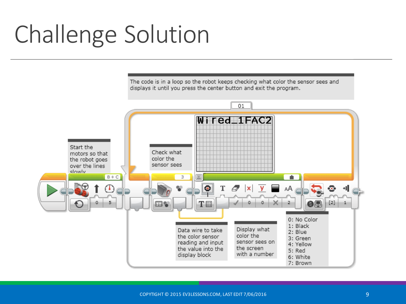# Challenge Solution

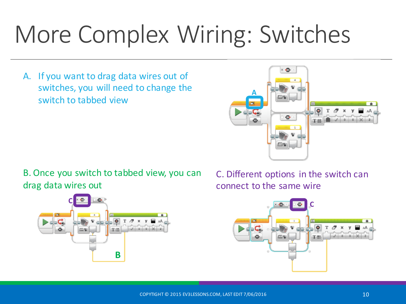# More Complex Wiring: Switches

A. If you want to drag data wires out of switches, you will need to change the switch to tabbed view



B. Once you switch to tabbed view, you can drag data wires out



C. Different options in the switch can connect to the same wire

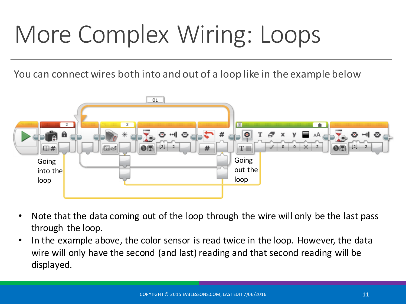# More Complex Wiring: Loops

You can connect wires both into and out of a loop like in the example below



- Note that the data coming out of the loop through the wire will only be the last pass through the loop.
- In the example above, the color sensor is read twice in the loop. However, the data wire will only have the second (and last) reading and that second reading will be displayed.